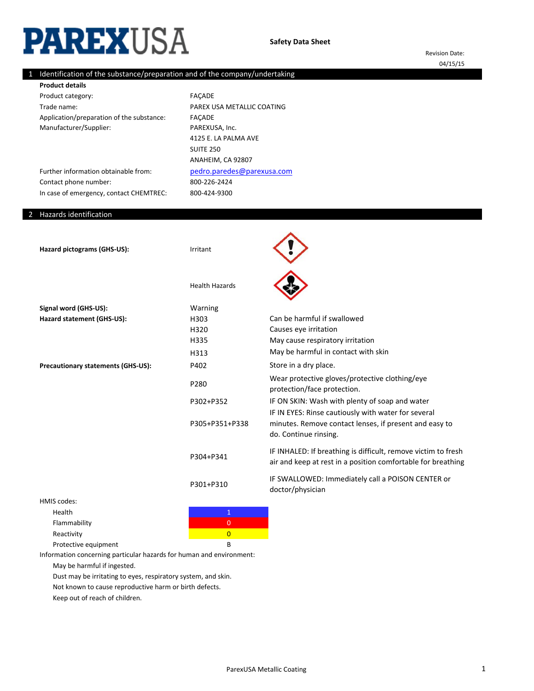# **PAREXUSA**

Revision Date: 04/15/15

# 1 Identification of the substance/preparation and of the company/undertaking

Product category: Trade name: Application/preparation of the substance: Manufacturer/Supplier: **Product details**

Further information obtainable from:

In case of emergency, contact CHEMTREC:

800-226-2424 800-424-9300 FAÇADE PAREX USA METALLIC COATING FAÇADE PAREXUSA, Inc. [pedro.paredes@parexu](mailto:pedro.paredes@parexusa.com)sa.com 4125 E. LA PALMA AVE SUITE 250 ANAHEIM, CA 92807

#### 2 Hazards identification

Contact phone number:

| Hazard pictograms (GHS-US):        | Irritant              |                                                                                                                                        |
|------------------------------------|-----------------------|----------------------------------------------------------------------------------------------------------------------------------------|
|                                    | <b>Health Hazards</b> |                                                                                                                                        |
| Signal word (GHS-US):              | Warning               |                                                                                                                                        |
| Hazard statement (GHS-US):         | H303                  | Can be harmful if swallowed                                                                                                            |
|                                    | H320                  | Causes eye irritation                                                                                                                  |
|                                    | H335                  | May cause respiratory irritation                                                                                                       |
|                                    | H313                  | May be harmful in contact with skin                                                                                                    |
| Precautionary statements (GHS-US): | P402                  | Store in a dry place.                                                                                                                  |
|                                    | P280                  | Wear protective gloves/protective clothing/eye<br>protection/face protection.                                                          |
|                                    | P302+P352             | IF ON SKIN: Wash with plenty of soap and water                                                                                         |
|                                    | P305+P351+P338        | IF IN EYES: Rinse cautiously with water for several<br>minutes. Remove contact lenses, if present and easy to<br>do. Continue rinsing. |
|                                    | P304+P341             | IF INHALED: If breathing is difficult, remove victim to fresh<br>air and keep at rest in a position comfortable for breathing          |
|                                    | P301+P310             | IF SWALLOWED: Immediately call a POISON CENTER or<br>doctor/physician                                                                  |
| <b>HMIS codes:</b>                 |                       |                                                                                                                                        |
|                                    |                       |                                                                                                                                        |

Health **1** and 1 and 1 and 1 and 1 and 1 and 1 and 1 and 1 and 1 and 1 and 1 and 1 and 1 and 1 and 1 and 1 and 1 Flammability **Department of the Community** of the Community of the Community of the Community of the Community of the Community of the Community of the Community of the Community of the Community of the Community of the Co

Reactivity **Contractivity** and the contraction of the contraction of the contraction of the contraction of the contraction of the contraction of the contraction of the contraction of the contraction of the contraction of t

Protective equipment B

Information concerning particular hazards for human and environment:

May be harmful if ingested.

Dust may be irritating to eyes, respiratory system, and skin.

Not known to cause reproductive harm or birth defects.

Keep out of reach of children.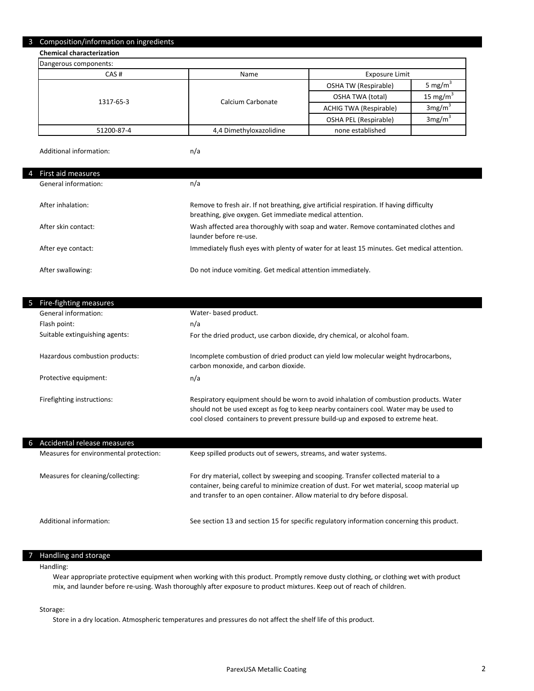#### 3 Composition/information on ingredients

**Chemical characterization**

| Dangerous components: |                         |                               |                      |
|-----------------------|-------------------------|-------------------------------|----------------------|
| CAS#                  | Name                    | Exposure Limit                |                      |
|                       |                         | OSHA TW (Respirable)          | 5 mg/m <sup>3</sup>  |
| 1317-65-3             | Calcium Carbonate       | <b>OSHA TWA (total)</b>       | 15 mg/m <sup>3</sup> |
|                       |                         | <b>ACHIG TWA (Respirable)</b> | 3mg/m <sup>3</sup>   |
|                       |                         | OSHA PEL (Respirable)         | 3mg/m <sup>3</sup>   |
| 51200-87-4            | 4,4 Dimethyloxazolidine | none established              |                      |

Additional information:

n/a

#### 4 First aid measures

| General information: | n/a                                                                                                                                                  |
|----------------------|------------------------------------------------------------------------------------------------------------------------------------------------------|
| After inhalation:    | Remove to fresh air. If not breathing, give artificial respiration. If having difficulty<br>breathing, give oxygen. Get immediate medical attention. |
| After skin contact:  | Wash affected area thoroughly with soap and water. Remove contaminated clothes and<br>launder before re-use.                                         |
| After eye contact:   | Immediately flush eyes with plenty of water for at least 15 minutes. Get medical attention.                                                          |
| After swallowing:    | Do not induce vomiting. Get medical attention immediately.                                                                                           |

| Fire-fighting measures<br>5    |                                                                                                                                                                                                                                                                     |
|--------------------------------|---------------------------------------------------------------------------------------------------------------------------------------------------------------------------------------------------------------------------------------------------------------------|
| General information:           | Water- based product.                                                                                                                                                                                                                                               |
| Flash point:                   | n/a                                                                                                                                                                                                                                                                 |
| Suitable extinguishing agents: | For the dried product, use carbon dioxide, dry chemical, or alcohol foam.                                                                                                                                                                                           |
| Hazardous combustion products: | Incomplete combustion of dried product can yield low molecular weight hydrocarbons,<br>carbon monoxide, and carbon dioxide.                                                                                                                                         |
| Protective equipment:          | n/a                                                                                                                                                                                                                                                                 |
| Firefighting instructions:     | Respiratory equipment should be worn to avoid inhalation of combustion products. Water<br>should not be used except as fog to keep nearby containers cool. Water may be used to<br>cool closed containers to prevent pressure build-up and exposed to extreme heat. |

| 6. | Accidental release measures            |                                                                                                                                                                                                                                                                 |
|----|----------------------------------------|-----------------------------------------------------------------------------------------------------------------------------------------------------------------------------------------------------------------------------------------------------------------|
|    | Measures for environmental protection: | Keep spilled products out of sewers, streams, and water systems.                                                                                                                                                                                                |
|    | Measures for cleaning/collecting:      | For dry material, collect by sweeping and scooping. Transfer collected material to a<br>container, being careful to minimize creation of dust. For wet material, scoop material up<br>and transfer to an open container. Allow material to dry before disposal. |
|    | Additional information:                | See section 13 and section 15 for specific regulatory information concerning this product.                                                                                                                                                                      |

#### 7 Handling and storage

#### Handling:

Wear appropriate protective equipment when working with this product. Promptly remove dusty clothing, or clothing wet with product mix, and launder before re-using. Wash thoroughly after exposure to product mixtures. Keep out of reach of children.

#### Storage:

Store in a dry location. Atmospheric temperatures and pressures do not affect the shelf life of this product.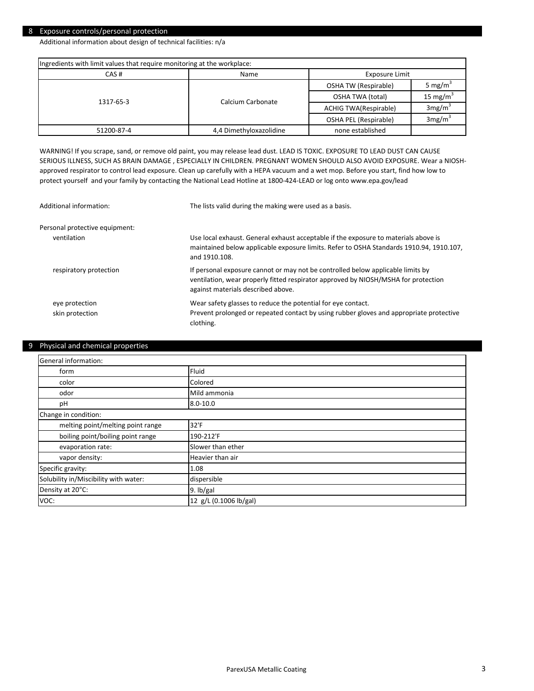#### 8 Exposure controls/personal protection

Additional information about design of technical facilities: n/a

| Ingredients with limit values that require monitoring at the workplace: |                         |                              |                      |  |
|-------------------------------------------------------------------------|-------------------------|------------------------------|----------------------|--|
| CAS#                                                                    | Exposure Limit<br>Name  |                              |                      |  |
|                                                                         |                         | OSHA TW (Respirable)         | 5 mg/m <sup>3</sup>  |  |
| 1317-65-3                                                               | Calcium Carbonate       | OSHA TWA (total)             | 15 mg/m <sup>3</sup> |  |
|                                                                         |                         | <b>ACHIG TWA(Respirable)</b> | 3mg/m <sup>3</sup>   |  |
|                                                                         |                         | OSHA PEL (Respirable)        | 3mg/m <sup>3</sup>   |  |
| 51200-87-4                                                              | 4,4 Dimethyloxazolidine | none established             |                      |  |

WARNING! If you scrape, sand, or remove old paint, you may release lead dust. LEAD IS TOXIC. EXPOSURE TO LEAD DUST CAN CAUSE SERIOUS ILLNESS, SUCH AS BRAIN DAMAGE , ESPECIALLY IN CHILDREN. PREGNANT WOMEN SHOULD ALSO AVOID EXPOSURE. Wear a NIOSHapproved respirator to control lead exposure. Clean up carefully with a HEPA vacuum and a wet mop. Before you start, find how low to protect yourself and your family by contacting the National Lead Hotline at 1800-424-LEAD or log onto www.epa.gov/lead

| Additional information:           | The lists valid during the making were used as a basis.                                                                                                                                                     |
|-----------------------------------|-------------------------------------------------------------------------------------------------------------------------------------------------------------------------------------------------------------|
| Personal protective equipment:    |                                                                                                                                                                                                             |
| ventilation                       | Use local exhaust. General exhaust acceptable if the exposure to materials above is<br>maintained below applicable exposure limits. Refer to OSHA Standards 1910.94, 1910.107,<br>and 1910.108.             |
| respiratory protection            | If personal exposure cannot or may not be controlled below applicable limits by<br>ventilation, wear properly fitted respirator approved by NIOSH/MSHA for protection<br>against materials described above. |
| eye protection<br>skin protection | Wear safety glasses to reduce the potential for eye contact.<br>Prevent prolonged or repeated contact by using rubber gloves and appropriate protective<br>clothing.                                        |

#### 9 Physical and chemical properties

| General information:                  |                        |  |
|---------------------------------------|------------------------|--|
| form                                  | Fluid                  |  |
| color                                 | Colored                |  |
| odor                                  | Mild ammonia           |  |
| pH                                    | $8.0 - 10.0$           |  |
| Change in condition:                  |                        |  |
| melting point/melting point range     | 32'F                   |  |
| boiling point/boiling point range     | 190-212'F              |  |
| evaporation rate:                     | Slower than ether      |  |
| vapor density:                        | Heavier than air       |  |
| Specific gravity:                     | 1.08                   |  |
| Solubility in/Miscibility with water: | dispersible            |  |
| Density at 20°C:                      | 9. lb/gal              |  |
| VOC:                                  | 12 g/L (0.1006 lb/gal) |  |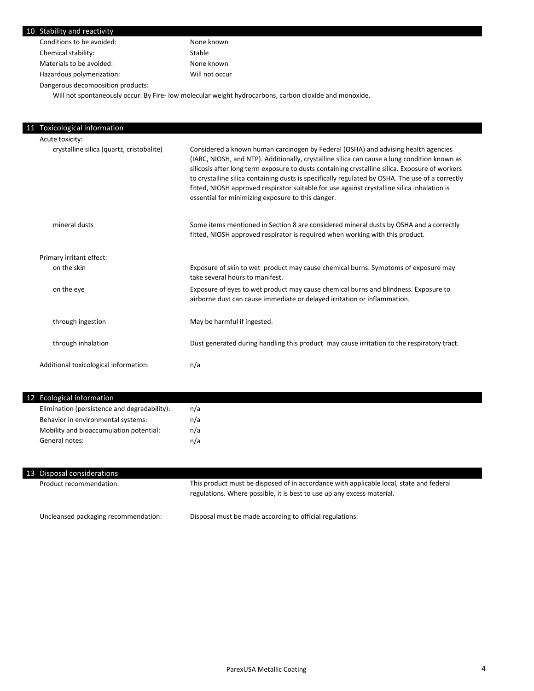| Stability and reactivity                  |                                                                                                                                                                                                                                                                                                                                                                                                                                                                                                                                              |
|-------------------------------------------|----------------------------------------------------------------------------------------------------------------------------------------------------------------------------------------------------------------------------------------------------------------------------------------------------------------------------------------------------------------------------------------------------------------------------------------------------------------------------------------------------------------------------------------------|
| Conditions to be avoided:                 | None known                                                                                                                                                                                                                                                                                                                                                                                                                                                                                                                                   |
| Chemical stability:                       | Stable                                                                                                                                                                                                                                                                                                                                                                                                                                                                                                                                       |
| Materials to be avoided:                  | None known                                                                                                                                                                                                                                                                                                                                                                                                                                                                                                                                   |
| Hazardous polymerization:                 | Will not occur                                                                                                                                                                                                                                                                                                                                                                                                                                                                                                                               |
| Dangerous decomposition products:         |                                                                                                                                                                                                                                                                                                                                                                                                                                                                                                                                              |
|                                           | Will not spontaneously occur. By Fire- low molecular weight hydrocarbons, carbon dioxide and monoxide.                                                                                                                                                                                                                                                                                                                                                                                                                                       |
|                                           |                                                                                                                                                                                                                                                                                                                                                                                                                                                                                                                                              |
| <b>Toxicological information</b>          |                                                                                                                                                                                                                                                                                                                                                                                                                                                                                                                                              |
| Acute toxicity:                           |                                                                                                                                                                                                                                                                                                                                                                                                                                                                                                                                              |
| crystalline silica (quartz, cristobalite) | Considered a known human carcinogen by Federal (OSHA) and advising health agencies<br>(IARC, NIOSH, and NTP). Additionally, crystalline silica can cause a lung condition known as<br>silicosis after long term exposure to dusts containing crystalline silica. Exposure of workers<br>to crystalline silica containing dusts is specifically regulated by OSHA. The use of a correctly<br>fitted, NIOSH approved respirator suitable for use against crystalline silica inhalation is<br>essential for minimizing exposure to this danger. |
| mineral dusts                             | Some items mentioned in Section 8 are considered mineral dusts by OSHA and a correctly<br>fitted, NIOSH approved respirator is required when working with this product.                                                                                                                                                                                                                                                                                                                                                                      |
| Primary irritant effect:                  |                                                                                                                                                                                                                                                                                                                                                                                                                                                                                                                                              |
| on the skin                               | Exposure of skin to wet product may cause chemical burns. Symptoms of exposure may<br>take several hours to manifest.                                                                                                                                                                                                                                                                                                                                                                                                                        |
| on the eye                                | Exposure of eyes to wet product may cause chemical burns and blindness. Exposure to<br>airborne dust can cause immediate or delayed irritation or inflammation.                                                                                                                                                                                                                                                                                                                                                                              |
| through ingestion                         | May be harmful if ingested.                                                                                                                                                                                                                                                                                                                                                                                                                                                                                                                  |
| through inhalation                        | Dust generated during handling this product may cause irritation to the respiratory tract.                                                                                                                                                                                                                                                                                                                                                                                                                                                   |
|                                           |                                                                                                                                                                                                                                                                                                                                                                                                                                                                                                                                              |

| 12 Ecological information                    |     |
|----------------------------------------------|-----|
| Elimination (persistence and degradability): | n/a |
| Behavior in environmental systems:           | n/a |
| Mobility and bioaccumulation potential:      | n/a |
| General notes:                               | n/a |

| 13 Disposal considerations           |                                                                                                                                                                   |
|--------------------------------------|-------------------------------------------------------------------------------------------------------------------------------------------------------------------|
| Product recommendation:              | This product must be disposed of in accordance with applicable local, state and federal<br>regulations. Where possible, it is best to use up any excess material. |
| Uncleansed packaging recommendation: | Disposal must be made according to official regulations.                                                                                                          |